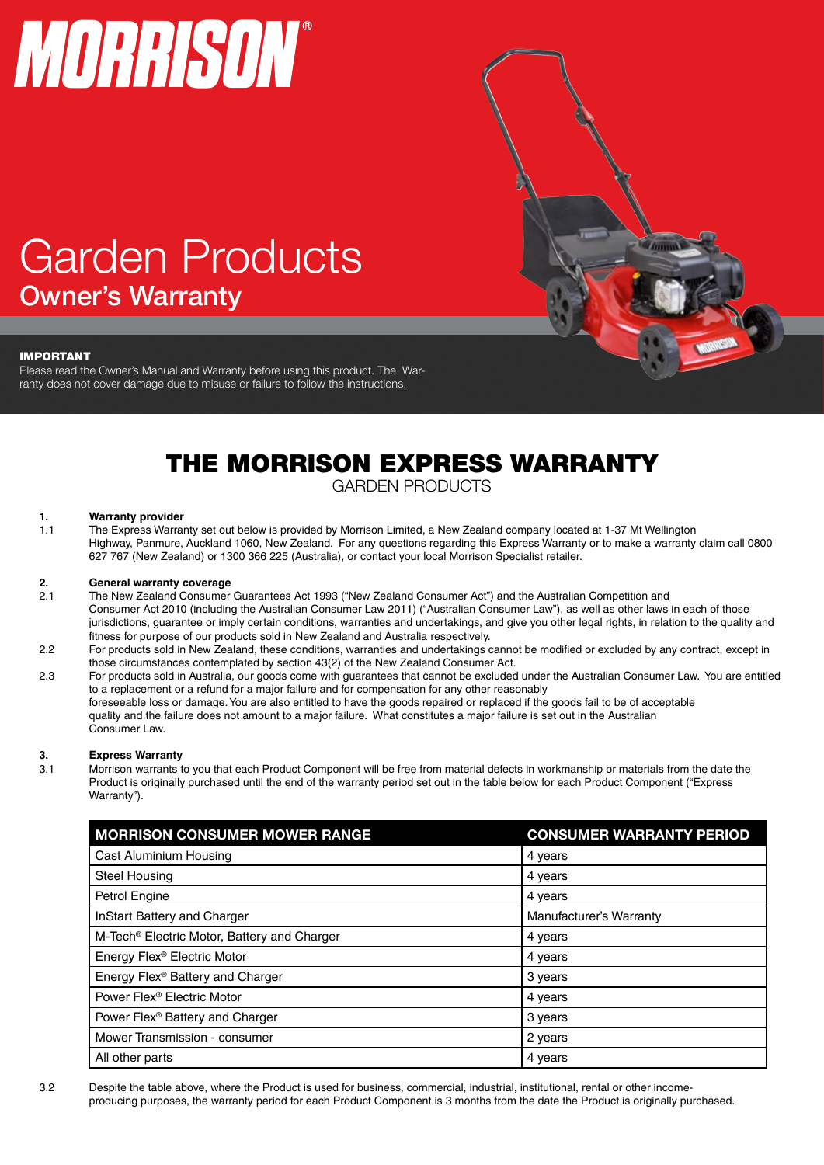# MORRISON®

# Garden Products Owner's Warranty

#### IMPORTANT

Please read the Owner's Manual and Warranty before using this product. The Warranty does not cover damage due to misuse or failure to follow the instructions.

# THE MORRISON EXPRESS WARRANTY

*VANNE* 

GARDEN PRODUCTS

#### **1. Warranty provider**

1.1 The Express Warranty set out below is provided by Morrison Limited, a New Zealand company located at 1-37 Mt Wellington Highway, Panmure, Auckland 1060, New Zealand. For any questions regarding this Express Warranty or to make a warranty claim call 0800 627 767 (New Zealand) or 1300 366 225 (Australia), or contact your local Morrison Specialist retailer.

#### **2. General warranty coverage**

- 2.1 The New Zealand Consumer Guarantees Act 1993 ("New Zealand Consumer Act") and the Australian Competition and Consumer Act 2010 (including the Australian Consumer Law 2011) ("Australian Consumer Law"), as well as other laws in each of those jurisdictions, guarantee or imply certain conditions, warranties and undertakings, and give you other legal rights, in relation to the quality and fitness for purpose of our products sold in New Zealand and Australia respectively.
- 2.2 For products sold in New Zealand, these conditions, warranties and undertakings cannot be modified or excluded by any contract, except in those circumstances contemplated by section 43(2) of the New Zealand Consumer Act.
- 2.3 For products sold in Australia, our goods come with guarantees that cannot be excluded under the Australian Consumer Law. You are entitled to a replacement or a refund for a major failure and for compensation for any other reasonably foreseeable loss or damage. You are also entitled to have the goods repaired or replaced if the goods fail to be of acceptable quality and the failure does not amount to a major failure. What constitutes a major failure is set out in the Australian Consumer Law.

### **3. Express Warranty**

Morrison warrants to you that each Product Component will be free from material defects in workmanship or materials from the date the Product is originally purchased until the end of the warranty period set out in the table below for each Product Component ("Express Warranty").

| <b>MORRISON CONSUMER MOWER RANGE</b>                    | <b>CONSUMER WARRANTY PERIOD</b> |
|---------------------------------------------------------|---------------------------------|
| Cast Aluminium Housing                                  | 4 years                         |
| <b>Steel Housing</b>                                    | 4 years                         |
| Petrol Engine                                           | 4 years                         |
| InStart Battery and Charger                             | Manufacturer's Warranty         |
| M-Tech <sup>®</sup> Electric Motor, Battery and Charger | 4 years                         |
| Energy Flex® Electric Motor                             | 4 years                         |
| Energy Flex® Battery and Charger                        | 3 years                         |
| Power Flex <sup>®</sup> Electric Motor                  | 4 years                         |
| Power Flex® Battery and Charger                         | 3 years                         |
| Mower Transmission - consumer                           | 2 years                         |
| All other parts                                         | 4 years                         |

3.2 Despite the table above, where the Product is used for business, commercial, industrial, institutional, rental or other incomeproducing purposes, the warranty period for each Product Component is 3 months from the date the Product is originally purchased.